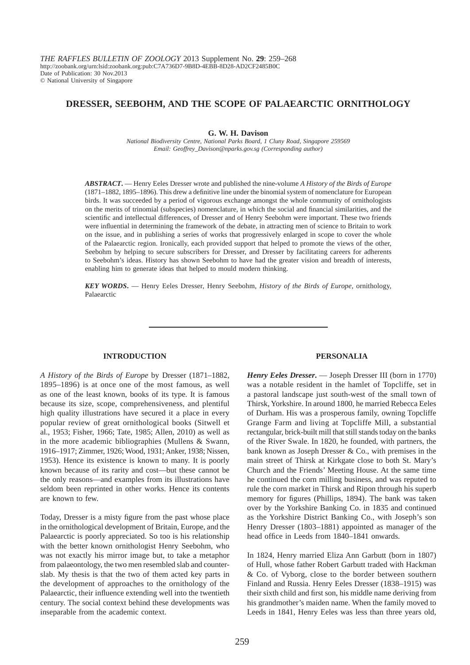*THE RAFFLES BULLETIN OF ZOOLOGY* 2013 Supplement No. **29**: 259–268 http://zoobank.org/urn:lsid:zoobank.org:pub:C7A736D7-9B8D-4EBB-8D28-AD2CF2485B0C Date of Publication: 30 Nov.2013 © National University of Singapore

# **DRESSER, SEEBOHM, AND THE SCOPE OF PALAEARCTIC ORNITHOLOGY**

## **G. W. H. Davison**

*National Biodiversity Centre, National Parks Board, 1 Cluny Road, Singapore 259569 Email: Geoffrey\_Davison@nparks.gov.sg (Corresponding author)*

*ABSTRACT***.** — Henry Eeles Dresser wrote and published the nine-volume *A History of the Birds of Europe* (1871–1882, 1895–1896). This drew a definitive line under the binomial system of nomenclature for European birds. It was succeeded by a period of vigorous exchange amongst the whole community of ornithologists on the merits of trinomial (subspecies) nomenclature, in which the social and financial similarities, and the scientific and intellectual differences, of Dresser and of Henry Seebohm were important. These two friends were influential in determining the framework of the debate, in attracting men of science to Britain to work on the issue, and in publishing a series of works that progressively enlarged in scope to cover the whole of the Palaearctic region. Ironically, each provided support that helped to promote the views of the other, Seebohm by helping to secure subscribers for Dresser, and Dresser by facilitating careers for adherents to Seebohm's ideas. History has shown Seebohm to have had the greater vision and breadth of interests, enabling him to generate ideas that helped to mould modern thinking.

*KEY WORDS***.** — Henry Eeles Dresser, Henry Seebohm, *History of the Birds of Europe*, ornithology, Palaearctic

#### **INTRODUCTION**

*A History of the Birds of Europe* by Dresser (1871–1882, 1895–1896) is at once one of the most famous, as well as one of the least known, books of its type. It is famous because its size, scope, comprehensiveness, and plentiful high quality illustrations have secured it a place in every popular review of great ornithological books (Sitwell et al., 1953; Fisher, 1966; Tate, 1985; Allen, 2010) as well as in the more academic bibliographies (Mullens & Swann, 1916–1917; Zimmer, 1926; Wood, 1931; Anker, 1938; Nissen, 1953). Hence its existence is known to many. It is poorly known because of its rarity and cost—but these cannot be the only reasons—and examples from its illustrations have seldom been reprinted in other works. Hence its contents are known to few.

Today, Dresser is a misty figure from the past whose place in the ornithological development of Britain, Europe, and the Palaearctic is poorly appreciated. So too is his relationship with the better known ornithologist Henry Seebohm, who was not exactly his mirror image but, to take a metaphor from palaeontology, the two men resembled slab and counterslab. My thesis is that the two of them acted key parts in the development of approaches to the ornithology of the Palaearctic, their influence extending well into the twentieth century. The social context behind these developments was inseparable from the academic context.

#### **PERSONALIA**

*Henry Eeles Dresser***.** — Joseph Dresser III (born in 1770) was a notable resident in the hamlet of Topcliffe, set in a pastoral landscape just south-west of the small town of Thirsk, Yorkshire. In around 1800, he married Rebecca Eeles of Durham. His was a prosperous family, owning Topcliffe Grange Farm and living at Topcliffe Mill, a substantial rectangular, brick-built mill that still stands today on the banks of the River Swale. In 1820, he founded, with partners, the bank known as Joseph Dresser & Co., with premises in the main street of Thirsk at Kirkgate close to both St. Mary's Church and the Friends' Meeting House. At the same time he continued the corn milling business, and was reputed to rule the corn market in Thirsk and Ripon through his superb memory for figures (Phillips, 1894). The bank was taken over by the Yorkshire Banking Co. in 1835 and continued as the Yorkshire District Banking Co., with Joseph's son Henry Dresser (1803–1881) appointed as manager of the head office in Leeds from 1840–1841 onwards.

In 1824, Henry married Eliza Ann Garbutt (born in 1807) of Hull, whose father Robert Garbutt traded with Hackman & Co. of Vyborg, close to the border between southern Finland and Russia. Henry Eeles Dresser (1838–1915) was their sixth child and first son, his middle name deriving from his grandmother's maiden name. When the family moved to Leeds in 1841, Henry Eeles was less than three years old,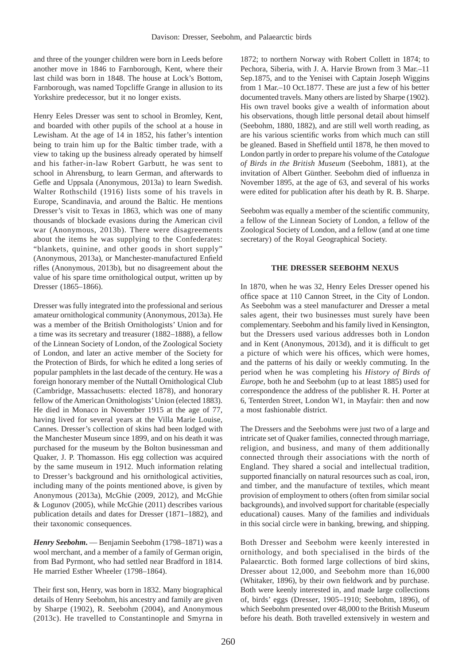and three of the younger children were born in Leeds before another move in 1846 to Farnborough, Kent, where their last child was born in 1848. The house at Lock's Bottom, Farnborough, was named Topcliffe Grange in allusion to its Yorkshire predecessor, but it no longer exists.

Henry Eeles Dresser was sent to school in Bromley, Kent, and boarded with other pupils of the school at a house in Lewisham. At the age of 14 in 1852, his father's intention being to train him up for the Baltic timber trade, with a view to taking up the business already operated by himself and his father-in-law Robert Garbutt, he was sent to school in Ahrensburg, to learn German, and afterwards to Gefle and Uppsala (Anonymous, 2013a) to learn Swedish. Walter Rothschild (1916) lists some of his travels in Europe, Scandinavia, and around the Baltic. He mentions Dresser's visit to Texas in 1863, which was one of many thousands of blockade evasions during the American civil war (Anonymous, 2013b). There were disagreements about the items he was supplying to the Confederates: "blankets, quinine, and other goods in short supply" (Anonymous, 2013a), or Manchester-manufactured Enfield rifles (Anonymous, 2013b), but no disagreement about the value of his spare time ornithological output, written up by Dresser (1865–1866).

Dresser was fully integrated into the professional and serious amateur ornithological community (Anonymous, 2013a). He was a member of the British Ornithologists' Union and for a time was its secretary and treasurer (1882–1888), a fellow of the Linnean Society of London, of the Zoological Society of London, and later an active member of the Society for the Protection of Birds, for which he edited a long series of popular pamphlets in the last decade of the century. He was a foreign honorary member of the Nuttall Ornithological Club (Cambridge, Massachusetts: elected 1878), and honorary fellow of the American Ornithologists' Union (elected 1883). He died in Monaco in November 1915 at the age of 77, having lived for several years at the Villa Marie Louise, Cannes. Dresser's collection of skins had been lodged with the Manchester Museum since 1899, and on his death it was purchased for the museum by the Bolton businessman and Quaker, J. P. Thomasson. His egg collection was acquired by the same museum in 1912. Much information relating to Dresser's background and his ornithological activities, including many of the points mentioned above, is given by Anonymous (2013a), McGhie (2009, 2012), and McGhie & Logunov (2005), while McGhie (2011) describes various publication details and dates for Dresser (1871–1882), and their taxonomic consequences.

*Henry Seebohm***.** — Benjamin Seebohm (1798–1871) was a wool merchant, and a member of a family of German origin, from Bad Pyrmont, who had settled near Bradford in 1814. He married Esther Wheeler (1798–1864).

Their first son, Henry, was born in 1832. Many biographical details of Henry Seebohm, his ancestry and family are given by Sharpe (1902), R. Seebohm (2004), and Anonymous (2013c). He travelled to Constantinople and Smyrna in

1872; to northern Norway with Robert Collett in 1874; to Pechora, Siberia, with J. A. Harvie Brown from 3 Mar.–11 Sep.1875, and to the Yenisei with Captain Joseph Wiggins from 1 Mar.–10 Oct.1877. These are just a few of his better documented travels. Many others are listed by Sharpe (1902). His own travel books give a wealth of information about his observations, though little personal detail about himself (Seebohm, 1880, 1882), and are still well worth reading, as are his various scientific works from which much can still be gleaned. Based in Sheffield until 1878, he then moved to London partly in order to prepare his volume of the *Catalogue of Birds in the British Museum* (Seebohm, 1881), at the invitation of Albert Günther. Seebohm died of influenza in November 1895, at the age of 63, and several of his works were edited for publication after his death by R. B. Sharpe.

Seebohm was equally a member of the scientific community, a fellow of the Linnean Society of London, a fellow of the Zoological Society of London, and a fellow (and at one time secretary) of the Royal Geographical Society.

# **THE DRESSER SEEBOHM NEXUS**

In 1870, when he was 32, Henry Eeles Dresser opened his office space at 110 Cannon Street, in the City of London. As Seebohm was a steel manufacturer and Dresser a metal sales agent, their two businesses must surely have been complementary. Seebohm and his family lived in Kensington, but the Dressers used various addresses both in London and in Kent (Anonymous, 2013d), and it is difficult to get a picture of which were his offices, which were homes, and the patterns of his daily or weekly commuting. In the period when he was completing his *History of Birds of Europe*, both he and Seebohm (up to at least 1885) used for correspondence the address of the publisher R. H. Porter at 6, Tenterden Street, London W1, in Mayfair: then and now a most fashionable district.

The Dressers and the Seebohms were just two of a large and intricate set of Quaker families, connected through marriage, religion, and business, and many of them additionally connected through their associations with the north of England. They shared a social and intellectual tradition, supported financially on natural resources such as coal, iron, and timber, and the manufacture of textiles, which meant provision of employment to others (often from similar social backgrounds), and involved support for charitable (especially educational) causes. Many of the families and individuals in this social circle were in banking, brewing, and shipping.

Both Dresser and Seebohm were keenly interested in ornithology, and both specialised in the birds of the Palaearctic. Both formed large collections of bird skins, Dresser about 12,000, and Seebohm more than 16,000 (Whitaker, 1896), by their own fieldwork and by purchase. Both were keenly interested in, and made large collections of, birds' eggs (Dresser, 1905–1910; Seebohm, 1896), of which Seebohm presented over 48,000 to the British Museum before his death. Both travelled extensively in western and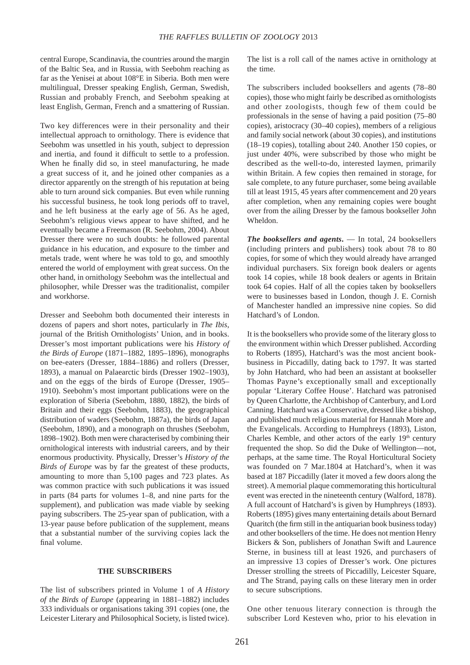central Europe, Scandinavia, the countries around the margin of the Baltic Sea, and in Russia, with Seebohm reaching as far as the Yenisei at about 108°E in Siberia. Both men were multilingual, Dresser speaking English, German, Swedish, Russian and probably French, and Seebohm speaking at least English, German, French and a smattering of Russian.

Two key differences were in their personality and their intellectual approach to ornithology. There is evidence that Seebohm was unsettled in his youth, subject to depression and inertia, and found it difficult to settle to a profession. When he finally did so, in steel manufacturing, he made a great success of it, and he joined other companies as a director apparently on the strength of his reputation at being able to turn around sick companies. But even while running his successful business, he took long periods off to travel, and he left business at the early age of 56. As he aged, Seebohm's religious views appear to have shifted, and he eventually became a Freemason (R. Seebohm, 2004). About Dresser there were no such doubts: he followed parental guidance in his education, and exposure to the timber and metals trade, went where he was told to go, and smoothly entered the world of employment with great success. On the other hand, in ornithology Seebohm was the intellectual and philosopher, while Dresser was the traditionalist, compiler and workhorse.

Dresser and Seebohm both documented their interests in dozens of papers and short notes, particularly in *The Ibis*, journal of the British Ornithologists' Union, and in books. Dresser's most important publications were his *History of the Birds of Europe* (1871–1882, 1895–1896), monographs on bee-eaters (Dresser, 1884–1886) and rollers (Dresser, 1893), a manual on Palaearctic birds (Dresser 1902–1903), and on the eggs of the birds of Europe (Dresser, 1905– 1910). Seebohm's most important publications were on the exploration of Siberia (Seebohm, 1880, 1882), the birds of Britain and their eggs (Seebohm, 1883), the geographical distribution of waders (Seebohm, 1887a), the birds of Japan (Seebohm, 1890), and a monograph on thrushes (Seebohm, 1898–1902). Both men were characterised by combining their ornithological interests with industrial careers, and by their enormous productivity. Physically, Dresser's *History of the Birds of Europe* was by far the greatest of these products, amounting to more than 5,100 pages and 723 plates. As was common practice with such publications it was issued in parts (84 parts for volumes 1–8, and nine parts for the supplement), and publication was made viable by seeking paying subscribers. The 25-year span of publication, with a 13-year pause before publication of the supplement, means that a substantial number of the surviving copies lack the final volume.

### **THE SUBSCRIBERS**

The list of subscribers printed in Volume 1 of *A History of the Birds of Europe* (appearing in 1881–1882) includes 333 individuals or organisations taking 391 copies (one, the Leicester Literary and Philosophical Society, is listed twice). The list is a roll call of the names active in ornithology at the time.

The subscribers included booksellers and agents (78–80 copies), those who might fairly be described as ornithologists and other zoologists, though few of them could be professionals in the sense of having a paid position (75–80 copies), aristocracy (30–40 copies), members of a religious and family social network (about 30 copies), and institutions (18–19 copies), totalling about 240. Another 150 copies, or just under 40%, were subscribed by those who might be described as the well-to-do, interested laymen, primarily within Britain. A few copies then remained in storage, for sale complete, to any future purchaser, some being available till at least 1915, 45 years after commencement and 20 years after completion, when any remaining copies were bought over from the ailing Dresser by the famous bookseller John Wheldon.

*The booksellers and agents***.** — In total, 24 booksellers (including printers and publishers) took about 78 to 80 copies, for some of which they would already have arranged individual purchasers. Six foreign book dealers or agents took 14 copies, while 18 book dealers or agents in Britain took 64 copies. Half of all the copies taken by booksellers were to businesses based in London, though J. E. Cornish of Manchester handled an impressive nine copies. So did Hatchard's of London.

It is the booksellers who provide some of the literary gloss to the environment within which Dresser published. According to Roberts (1895), Hatchard's was the most ancient bookbusiness in Piccadilly, dating back to 1797. It was started by John Hatchard, who had been an assistant at bookseller Thomas Payne's exceptionally small and exceptionally popular 'Literary Coffee House'. Hatchard was patronised by Queen Charlotte, the Archbishop of Canterbury, and Lord Canning. Hatchard was a Conservative, dressed like a bishop, and published much religious material for Hannah More and the Evangelicals. According to Humphreys (1893), Liston, Charles Kemble, and other actors of the early  $19<sup>th</sup>$  century frequented the shop. So did the Duke of Wellington—not, perhaps, at the same time. The Royal Horticultural Society was founded on 7 Mar.1804 at Hatchard's, when it was based at 187 Piccadilly (later it moved a few doors along the street). A memorial plaque commemorating this horticultural event was erected in the nineteenth century (Walford, 1878). A full account of Hatchard's is given by Humphreys (1893). Roberts (1895) gives many entertaining details about Bernard Quaritch (the firm still in the antiquarian book business today) and other booksellers of the time. He does not mention Henry Bickers & Son, publishers of Jonathan Swift and Laurence Sterne, in business till at least 1926, and purchasers of an impressive 13 copies of Dresser's work. One pictures Dresser strolling the streets of Piccadilly, Leicester Square, and The Strand, paying calls on these literary men in order to secure subscriptions.

One other tenuous literary connection is through the subscriber Lord Kesteven who, prior to his elevation in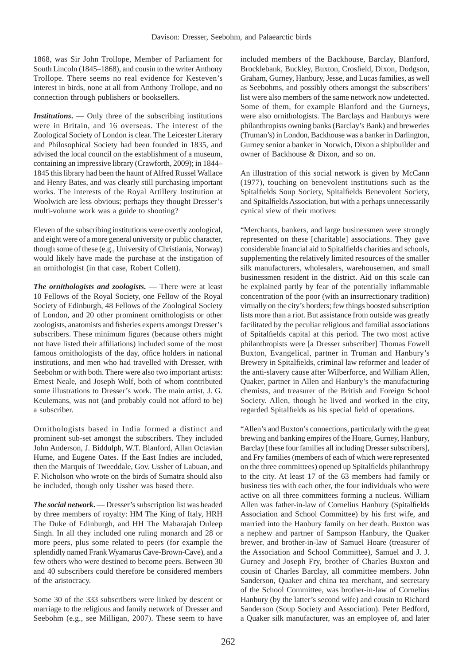1868, was Sir John Trollope, Member of Parliament for South Lincoln (1845–1868), and cousin to the writer Anthony Trollope. There seems no real evidence for Kesteven's interest in birds, none at all from Anthony Trollope, and no connection through publishers or booksellers.

*Institutions***.** — Only three of the subscribing institutions were in Britain, and 16 overseas. The interest of the Zoological Society of London is clear. The Leicester Literary and Philosophical Society had been founded in 1835, and advised the local council on the establishment of a museum, containing an impressive library (Crawforth, 2009); in 1844– 1845 this library had been the haunt of Alfred Russel Wallace and Henry Bates, and was clearly still purchasing important works. The interests of the Royal Artillery Institution at Woolwich are less obvious; perhaps they thought Dresser's multi-volume work was a guide to shooting?

Eleven of the subscribing institutions were overtly zoological, and eight were of a more general university or public character, though some of these (e.g., University of Christiania, Norway) would likely have made the purchase at the instigation of an ornithologist (in that case, Robert Collett).

*The ornithologists and zoologists***.** — There were at least 10 Fellows of the Royal Society, one Fellow of the Royal Society of Edinburgh, 48 Fellows of the Zoological Society of London, and 20 other prominent ornithologists or other zoologists, anatomists and fisheries experts amongst Dresser's subscribers. These minimum figures (because others might not have listed their affiliations) included some of the most famous ornithologists of the day, office holders in national institutions, and men who had travelled with Dresser, with Seebohm or with both. There were also two important artists: Ernest Neale, and Joseph Wolf, both of whom contributed some illustrations to Dresser's work. The main artist, J. G. Keulemans, was not (and probably could not afford to be) a subscriber.

Ornithologists based in India formed a distinct and prominent sub-set amongst the subscribers. They included John Anderson, J. Biddulph, W.T. Blanford, Allan Octavian Hume, and Eugene Oates. If the East Indies are included, then the Marquis of Tweeddale, Gov. Ussher of Labuan, and F. Nicholson who wrote on the birds of Sumatra should also be included, though only Ussher was based there.

*The social network***.** — Dresser's subscription list was headed by three members of royalty: HM The King of Italy, HRH The Duke of Edinburgh, and HH The Maharajah Duleep Singh. In all they included one ruling monarch and 28 or more peers, plus some related to peers (for example the splendidly named Frank Wyamarus Cave-Brown-Cave), and a few others who were destined to become peers. Between 30 and 40 subscribers could therefore be considered members of the aristocracy.

Some 30 of the 333 subscribers were linked by descent or marriage to the religious and family network of Dresser and Seebohm (e.g., see Milligan, 2007). These seem to have

included members of the Backhouse, Barclay, Blanford, Brocklebank, Buckley, Buxton, Crosfield, Dixon, Dodgson, Graham, Gurney, Hanbury, Jesse, and Lucas families, as well as Seebohms, and possibly others amongst the subscribers' list were also members of the same network now undetected. Some of them, for example Blanford and the Gurneys, were also ornithologists. The Barclays and Hanburys were philanthropists owning banks (Barclay's Bank) and breweries (Truman's) in London, Backhouse was a banker in Darlington, Gurney senior a banker in Norwich, Dixon a shipbuilder and owner of Backhouse & Dixon, and so on.

An illustration of this social network is given by McCann (1977), touching on benevolent institutions such as the Spitalfields Soup Society, Spitalfields Benevolent Society, and Spitalfields Association, but with a perhaps unnecessarily cynical view of their motives:

"Merchants, bankers, and large businessmen were strongly represented on these [charitable] associations. They gave considerable financial aid to Spitalfields charities and schools, supplementing the relatively limited resources of the smaller silk manufacturers, wholesalers, warehousemen, and small businessmen resident in the district. Aid on this scale can be explained partly by fear of the potentially inflammable concentration of the poor (with an insurrectionary tradition) virtually on the city's borders; few things boosted subscription lists more than a riot. But assistance from outside was greatly facilitated by the peculiar religious and familial associations of Spitalfields capital at this period. The two most active philanthropists were [a Dresser subscriber] Thomas Fowell Buxton, Evangelical, partner in Truman and Hanbury's Brewery in Spitalfields, criminal law reformer and leader of the anti-slavery cause after Wilberforce, and William Allen, Quaker, partner in Allen and Hanbury's the manufacturing chemists, and treasurer of the British and Foreign School Society. Allen, though he lived and worked in the city, regarded Spitalfields as his special field of operations.

"Allen's and Buxton's connections, particularly with the great brewing and banking empires of the Hoare, Gurney, Hanbury, Barclay [these four families all including Dresser subscribers], and Fry families (members of each of which were represented on the three committees) opened up Spitalfields philanthropy to the city. At least 17 of the 63 members had family or business ties with each other, the four individuals who were active on all three committees forming a nucleus. William Allen was father-in-law of Cornelius Hanbury (Spitalfields Association and School Committee) by his first wife, and married into the Hanbury family on her death. Buxton was a nephew and partner of Sampson Hanbury, the Quaker brewer, and brother-in-law of Samuel Hoare (treasurer of the Association and School Committee), Samuel and J. J. Gurney and Joseph Fry, brother of Charles Buxton and cousin of Charles Barclay, all committee members. John Sanderson, Quaker and china tea merchant, and secretary of the School Committee, was brother-in-law of Cornelius Hanbury (by the latter's second wife) and cousin to Richard Sanderson (Soup Society and Association). Peter Bedford, a Quaker silk manufacturer, was an employee of, and later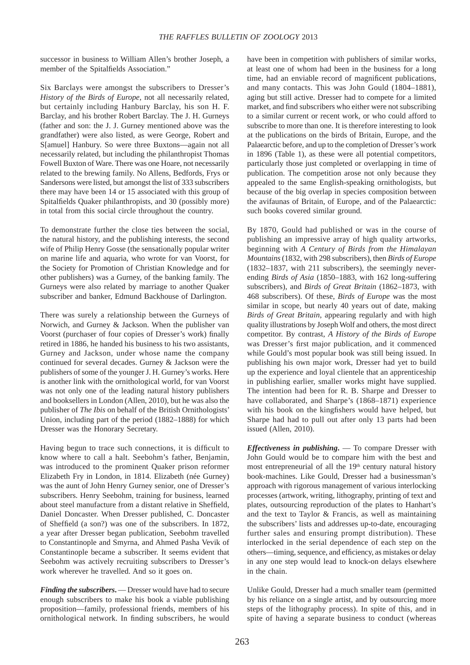successor in business to William Allen's brother Joseph, a member of the Spitalfields Association."

Six Barclays were amongst the subscribers to Dresser's *History of the Birds of Europe*, not all necessarily related, but certainly including Hanbury Barclay, his son H. F. Barclay, and his brother Robert Barclay. The J. H. Gurneys (father and son: the J. J. Gurney mentioned above was the grandfather) were also listed, as were George, Robert and S[amuel] Hanbury. So were three Buxtons—again not all necessarily related, but including the philanthropist Thomas Fowell Buxton of Ware. There was one Hoare, not necessarily related to the brewing family. No Allens, Bedfords, Frys or Sandersons were listed, but amongst the list of 333 subscribers there may have been 14 or 15 associated with this group of Spitalfields Quaker philanthropists, and 30 (possibly more) in total from this social circle throughout the country.

To demonstrate further the close ties between the social, the natural history, and the publishing interests, the second wife of Philip Henry Gosse (the sensationally popular writer on marine life and aquaria, who wrote for van Voorst, for the Society for Promotion of Christian Knowledge and for other publishers) was a Gurney, of the banking family. The Gurneys were also related by marriage to another Quaker subscriber and banker, Edmund Backhouse of Darlington.

There was surely a relationship between the Gurneys of Norwich, and Gurney & Jackson. When the publisher van Voorst (purchaser of four copies of Dresser's work) finally retired in 1886, he handed his business to his two assistants, Gurney and Jackson, under whose name the company continued for several decades. Gurney & Jackson were the publishers of some of the younger J. H. Gurney's works. Here is another link with the ornithological world, for van Voorst was not only one of the leading natural history publishers and booksellers in London (Allen, 2010), but he was also the publisher of *The Ibis* on behalf of the British Ornithologists' Union, including part of the period (1882–1888) for which Dresser was the Honorary Secretary.

Having begun to trace such connections, it is difficult to know where to call a halt. Seebohm's father, Benjamin, was introduced to the prominent Quaker prison reformer Elizabeth Fry in London, in 1814. Elizabeth (née Gurney) was the aunt of John Henry Gurney senior, one of Dresser's subscribers. Henry Seebohm, training for business, learned about steel manufacture from a distant relative in Sheffield, Daniel Doncaster. When Dresser published, C. Doncaster of Sheffield (a son?) was one of the subscribers. In 1872, a year after Dresser began publication, Seebohm travelled to Constantinople and Smyrna, and Ahmed Pasha Vevik of Constantinople became a subscriber. It seems evident that Seebohm was actively recruiting subscribers to Dresser's work wherever he travelled. And so it goes on.

*Finding the subscribers***.** — Dresser would have had to secure enough subscribers to make his book a viable publishing proposition—family, professional friends, members of his ornithological network. In finding subscribers, he would have been in competition with publishers of similar works, at least one of whom had been in the business for a long time, had an enviable record of magnificent publications, and many contacts. This was John Gould (1804–1881), aging but still active. Dresser had to compete for a limited market, and find subscribers who either were not subscribing to a similar current or recent work, or who could afford to subscribe to more than one. It is therefore interesting to look at the publications on the birds of Britain, Europe, and the Palaearctic before, and up to the completion of Dresser's work in 1896 (Table 1), as these were all potential competitors, particularly those just completed or overlapping in time of publication. The competition arose not only because they appealed to the same English-speaking ornithologists, but because of the big overlap in species composition between the avifaunas of Britain, of Europe, and of the Palaearctic: such books covered similar ground.

By 1870, Gould had published or was in the course of publishing an impressive array of high quality artworks, beginning with *A Century of Birds from the Himalayan Mountains* (1832, with 298 subscribers), then *Birds of Europe* (1832–1837, with 211 subscribers), the seemingly neverending *Birds of Asia* (1850–1883, with 162 long-suffering subscribers), and *Birds of Great Britain* (1862–1873, with 468 subscribers). Of these, *Birds of Europe* was the most similar in scope, but nearly 40 years out of date, making *Birds of Great Britain*, appearing regularly and with high quality illustrations by Joseph Wolf and others, the most direct competitor. By contrast, *A History of the Birds of Europe* was Dresser's first major publication, and it commenced while Gould's most popular book was still being issued. In publishing his own major work, Dresser had yet to build up the experience and loyal clientele that an apprenticeship in publishing earlier, smaller works might have supplied. The intention had been for R. B. Sharpe and Dresser to have collaborated, and Sharpe's (1868–1871) experience with his book on the kingfishers would have helped, but Sharpe had had to pull out after only 13 parts had been issued (Allen, 2010).

*Effectiveness in publishing***.** — To compare Dresser with John Gould would be to compare him with the best and most entrepreneurial of all the  $19<sup>th</sup>$  century natural history book-machines. Like Gould, Dresser had a businessman's approach with rigorous management of various interlocking processes (artwork, writing, lithography, printing of text and plates, outsourcing reproduction of the plates to Hanhart's and the text to Taylor & Francis, as well as maintaining the subscribers' lists and addresses up-to-date, encouraging further sales and ensuring prompt distribution). These interlocked in the serial dependence of each step on the others—timing, sequence, and efficiency, as mistakes or delay in any one step would lead to knock-on delays elsewhere in the chain.

Unlike Gould, Dresser had a much smaller team (permitted by his reliance on a single artist, and by outsourcing more steps of the lithography process). In spite of this, and in spite of having a separate business to conduct (whereas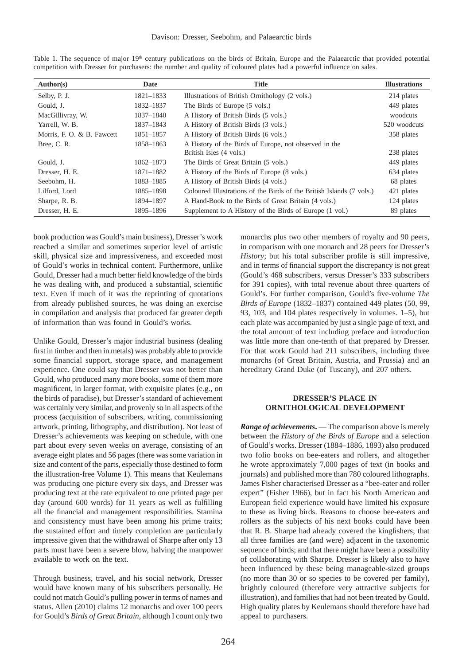| Date      | <b>Title</b>                                                         | <b>Illustrations</b> |
|-----------|----------------------------------------------------------------------|----------------------|
| 1821-1833 | Illustrations of British Ornithology (2 vols.)                       | 214 plates           |
| 1832-1837 | The Birds of Europe (5 vols.)                                        | 449 plates           |
| 1837-1840 | A History of British Birds (5 vols.)                                 | woodcuts             |
| 1837-1843 | A History of British Birds (3 vols.)                                 | 520 woodcuts         |
| 1851-1857 | A History of British Birds (6 vols.)                                 | 358 plates           |
| 1858-1863 | A History of the Birds of Europe, not observed in the                |                      |
|           | British Isles (4 vols.)                                              | 238 plates           |
| 1862-1873 | The Birds of Great Britain (5 vols.)                                 | 449 plates           |
| 1871-1882 | A History of the Birds of Europe (8 vols.)                           | 634 plates           |
| 1883-1885 | A History of British Birds (4 vols.)                                 | 68 plates            |
| 1885-1898 | Coloured Illustrations of the Birds of the British Islands (7 vols.) | 421 plates           |
| 1894-1897 | A Hand-Book to the Birds of Great Britain (4 vols.)                  | 124 plates           |
| 1895-1896 | Supplement to A History of the Birds of Europe (1 vol.)              | 89 plates            |
|           |                                                                      |                      |

Table 1. The sequence of major 19<sup>th</sup> century publications on the birds of Britain, Europe and the Palaearctic that provided potential competition with Dresser for purchasers: the number and quality of coloured plates had a powerful influence on sales.

book production was Gould's main business), Dresser's work reached a similar and sometimes superior level of artistic skill, physical size and impressiveness, and exceeded most of Gould's works in technical content. Furthermore, unlike Gould, Dresser had a much better field knowledge of the birds he was dealing with, and produced a substantial, scientific text. Even if much of it was the reprinting of quotations from already published sources, he was doing an exercise in compilation and analysis that produced far greater depth of information than was found in Gould's works.

Unlike Gould, Dresser's major industrial business (dealing first in timber and then in metals) was probably able to provide some financial support, storage space, and management experience. One could say that Dresser was not better than Gould, who produced many more books, some of them more magnificent, in larger format, with exquisite plates (e.g., on the birds of paradise), but Dresser's standard of achievement was certainly very similar, and provenly so in all aspects of the process (acquisition of subscribers, writing, commissioning artwork, printing, lithography, and distribution). Not least of Dresser's achievements was keeping on schedule, with one part about every seven weeks on average, consisting of an average eight plates and 56 pages (there was some variation in size and content of the parts, especially those destined to form the illustration-free Volume 1). This means that Keulemans was producing one picture every six days, and Dresser was producing text at the rate equivalent to one printed page per day (around 600 words) for 11 years as well as fulfilling all the financial and management responsibilities. Stamina and consistency must have been among his prime traits; the sustained effort and timely completion are particularly impressive given that the withdrawal of Sharpe after only 13 parts must have been a severe blow, halving the manpower available to work on the text.

Through business, travel, and his social network, Dresser would have known many of his subscribers personally. He could not match Gould's pulling power in terms of names and status. Allen (2010) claims 12 monarchs and over 100 peers for Gould's *Birds of Great Britain*, although I count only two

monarchs plus two other members of royalty and 90 peers, in comparison with one monarch and 28 peers for Dresser's *History*; but his total subscriber profile is still impressive, and in terms of financial support the discrepancy is not great (Gould's 468 subscribers, versus Dresser's 333 subscribers for 391 copies), with total revenue about three quarters of Gould's. For further comparison, Gould's five-volume *The Birds of Europe* (1832–1837) contained 449 plates (50, 99, 93, 103, and 104 plates respectively in volumes. 1–5), but each plate was accompanied by just a single page of text, and the total amount of text including preface and introduction was little more than one-tenth of that prepared by Dresser. For that work Gould had 211 subscribers, including three monarchs (of Great Britain, Austria, and Prussia) and an hereditary Grand Duke (of Tuscany), and 207 others.

### **DRESSER'S PLACE IN ORNITHOLOGICAL DEVELOPMENT**

*Range of achievements***.** — The comparison above is merely between the *History of the Birds of Europe* and a selection of Gould's works. Dresser (1884–1886, 1893) also produced two folio books on bee-eaters and rollers, and altogether he wrote approximately 7,000 pages of text (in books and journals) and published more than 780 coloured lithographs. James Fisher characterised Dresser as a "bee-eater and roller expert" (Fisher 1966), but in fact his North American and European field experience would have limited his exposure to these as living birds. Reasons to choose bee-eaters and rollers as the subjects of his next books could have been that R. B. Sharpe had already covered the kingfishers; that all three families are (and were) adjacent in the taxonomic sequence of birds; and that there might have been a possibility of collaborating with Sharpe. Dresser is likely also to have been influenced by these being manageable-sized groups (no more than 30 or so species to be covered per family), brightly coloured (therefore very attractive subjects for illustration), and families that had not been treated by Gould. High quality plates by Keulemans should therefore have had appeal to purchasers.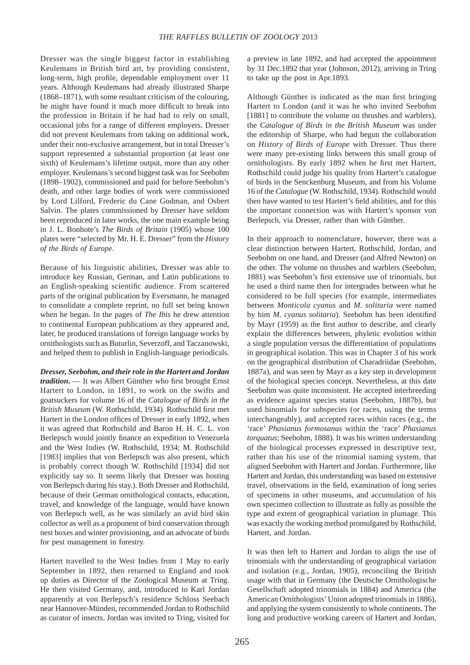Dresser was the single biggest factor in establishing Keulemans in British bird art, by providing consistent, long-term, high profile, dependable employment over 11 years. Although Keulemans had already illustrated Sharpe (1868–1871), with some resultant criticism of the colouring, he might have found it much more difficult to break into the profession in Britain if he had had to rely on small, occasional jobs for a range of different employers. Dresser did not prevent Keulemans from taking on additional work, under their non-exclusive arrangement, but in total Dresser's support represented a substantial proportion (at least one sixth) of Keulemans's lifetime output, more than any other employer. Keulemans's second biggest task was for Seebohm (1898–1902), commissioned and paid for before Seebohm's death, and other large bodies of work were commissioned by Lord Lilford, Frederic du Cane Godman, and Osbert Salvin. The plates commissioned by Dresser have seldom been reproduced in later works, the one main example being in J. L. Bonhote's *The Birds of Britain* (1905) whose 100 plates were "selected by Mr. H. E. Dresser" from the *History of the Birds of Europe*.

Because of his linguistic abilities, Dresser was able to introduce key Russian, German, and Latin publications to an English-speaking scientific audience. From scattered parts of the original publication by Eversmann, he managed to consolidate a complete reprint, no full set being known when he began. In the pages of *The Ibis* he drew attention to continental European publications as they appeared and, later, he produced translations of foreign language works by ornithologists such as Buturlin, Severzoff, and Taczanowski, and helped them to publish in English-language periodicals.

*Dresser, Seebohm, and their role in the Hartert and Jordan tradition*. — It was Albert Günther who first brought Ernst Hartert to London, in 1891, to work on the swifts and goatsuckers for volume 16 of the *Catalogue of Birds in the British Museum* (W. Rothschild, 1934). Rothschild first met Hartert in the London offices of Dresser in early 1892, when it was agreed that Rothschild and Baron H. H. C. L. von Berlepsch would jointly finance an expedition to Venezuela and the West Indies (W. Rothschild, 1934; M. Rothschild [1983] implies that von Berlepsch was also present, which is probably correct though W. Rothschild [1934] did not explicitly say so. It seems likely that Dresser was hosting von Berlepsch during his stay.). Both Dresser and Rothschild, because of their German ornithological contacts, education, travel, and knowledge of the language, would have known von Berlepsch well, as he was similarly an avid bird skin collector as well as a proponent of bird conservation through nest boxes and winter provisioning, and an advocate of birds for pest management in forestry.

Hartert travelled to the West Indies from 1 May to early September in 1892, then returned to England and took up duties as Director of the Zoological Museum at Tring. He then visited Germany, and, introduced to Karl Jordan apparently at von Berlepsch's residence Schloss Seebach near Hannover-Münden, recommended Jordan to Rothschild as curator of insects. Jordan was invited to Tring, visited for a preview in late 1892, and had accepted the appointment by 31 Dec.1892 that year (Johnson, 2012), arriving in Tring to take up the post in Apr.1893.

Although Günther is indicated as the man first bringing Hartert to London (and it was he who invited Seebohm [1881] to contribute the volume on thrushes and warblers), the *Catalogue of Birds in the British Museum* was under the editorship of Sharpe, who had begun the collaboration on *History of Birds of Europe* with Dresser. Thus there were many pre-existing links between this small group of ornithologists. By early 1892 when he first met Hartert, Rothschild could judge his quality from Hartert's catalogue of birds in the Senckenburg Museum, and from his Volume 16 of the *Catalogue* (W. Rothschild, 1934). Rothschild would then have wanted to test Hartert's field abilities, and for this the important connection was with Hartert's sponsor von Berlepsch, via Dresser, rather than with Günther.

In their approach to nomenclature, however, there was a clear distinction between Hartert, Rothschild, Jordan, and Seebohm on one hand, and Dresser (and Alfred Newton) on the other. The volume on thrushes and warblers (Seebohm, 1881) was Seebohm's first extensive use of trinomials, but he used a third name then for intergrades between what he considered to be full species (for example, intermediates between *Monticola cyanus* and *M. solitaria* were named by him *M. cyanus solitaria*). Seebohm has been identified by Mayr (1959) as the first author to describe, and clearly explain the differences between, phyletic evolution within a single population versus the differentiation of populations in geographical isolation. This was in Chapter 3 of his work on the geographical distribution of Charadriidae (Seebohm, 1887a), and was seen by Mayr as a key step in development of the biological species concept. Nevertheless, at this date Seebohm was quite inconsistent. He accepted interbreeding as evidence against species status (Seebohm, 1887b), but used binomials for subspecies (or races, using the terms interchangeably), and accepted races within races (e.g., the 'race' *Phasianus formosanus* within the 'race' *Phasianus torquatus*; Seebohm, 1888). It was his written understanding of the biological processes expressed in descriptive text, rather than his use of the trinomial naming system, that aligned Seebohm with Hartert and Jordan. Furthermore, like Hartert and Jordan, this understanding was based on extensive travel, observations in the field, examination of long series of specimens in other museums, and accumulation of his own specimen collection to illustrate as fully as possible the type and extent of geographical variation in plumage. This was exactly the working method promulgated by Rothschild, Hartert, and Jordan.

It was then left to Hartert and Jordan to align the use of trinomials with the understanding of geographical variation and isolation (e.g., Jordan, 1905), reconciling the British usage with that in Germany (the Deutsche Ornithologische Gesellschaft adopted trinomials in 1884) and America (the American Ornithologists' Union adopted trinomials in 1886), and applying the system consistently to whole continents. The long and productive working careers of Hartert and Jordan,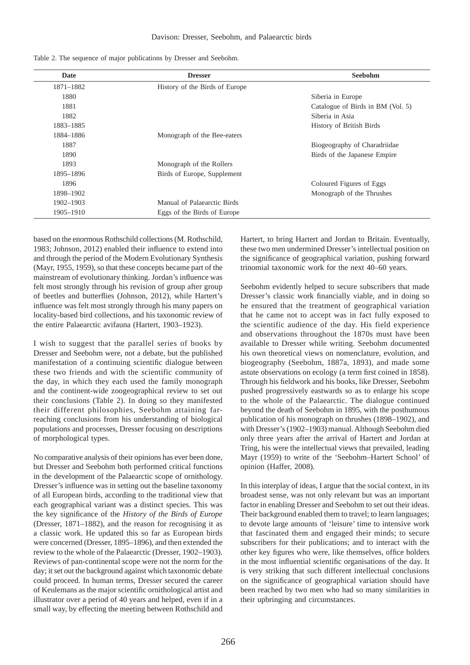|  |  |  |  |  | Table 2. The sequence of major publications by Dresser and Seebohm. |  |  |  |  |
|--|--|--|--|--|---------------------------------------------------------------------|--|--|--|--|
|--|--|--|--|--|---------------------------------------------------------------------|--|--|--|--|

| Date      | <b>Dresser</b>                 | <b>Seebohm</b>                    |
|-----------|--------------------------------|-----------------------------------|
| 1871-1882 | History of the Birds of Europe |                                   |
| 1880      |                                | Siberia in Europe                 |
| 1881      |                                | Catalogue of Birds in BM (Vol. 5) |
| 1882      |                                | Siberia in Asia                   |
| 1883-1885 |                                | History of British Birds          |
| 1884-1886 | Monograph of the Bee-eaters    |                                   |
| 1887      |                                | Biogeography of Charadriidae      |
| 1890      |                                | Birds of the Japanese Empire      |
| 1893      | Monograph of the Rollers       |                                   |
| 1895-1896 | Birds of Europe, Supplement    |                                   |
| 1896      |                                | Coloured Figures of Eggs          |
| 1898-1902 |                                | Monograph of the Thrushes         |
| 1902-1903 | Manual of Palaearctic Birds    |                                   |
| 1905-1910 | Eggs of the Birds of Europe    |                                   |

based on the enormous Rothschild collections (M. Rothschild, 1983; Johnson, 2012) enabled their influence to extend into and through the period of the Modern Evolutionary Synthesis (Mayr, 1955, 1959), so that these concepts became part of the mainstream of evolutionary thinking. Jordan's influence was felt most strongly through his revision of group after group of beetles and butterflies (Johnson, 2012), while Hartert's influence was felt most strongly through his many papers on locality-based bird collections, and his taxonomic review of the entire Palaearctic avifauna (Hartert, 1903–1923).

I wish to suggest that the parallel series of books by Dresser and Seebohm were, not a debate, but the published manifestation of a continuing scientific dialogue between these two friends and with the scientific community of the day, in which they each used the family monograph and the continent-wide zoogeographical review to set out their conclusions (Table 2). In doing so they manifested their different philosophies, Seebohm attaining farreaching conclusions from his understanding of biological populations and processes, Dresser focusing on descriptions of morphological types.

No comparative analysis of their opinions has ever been done, but Dresser and Seebohm both performed critical functions in the development of the Palaearctic scope of ornithology. Dresser's influence was in setting out the baseline taxonomy of all European birds, according to the traditional view that each geographical variant was a distinct species. This was the key significance of the *History of the Birds of Europe* (Dresser, 1871–1882), and the reason for recognising it as a classic work. He updated this so far as European birds were concerned (Dresser, 1895–1896), and then extended the review to the whole of the Palaearctic (Dresser, 1902–1903). Reviews of pan-continental scope were not the norm for the day; it set out the background against which taxonomic debate could proceed. In human terms, Dresser secured the career of Keulemans as the major scientific ornithological artist and illustrator over a period of 40 years and helped, even if in a small way, by effecting the meeting between Rothschild and

Hartert, to bring Hartert and Jordan to Britain. Eventually, these two men undermined Dresser's intellectual position on the significance of geographical variation, pushing forward trinomial taxonomic work for the next 40–60 years.

Seebohm evidently helped to secure subscribers that made Dresser's classic work financially viable, and in doing so he ensured that the treatment of geographical variation that he came not to accept was in fact fully exposed to the scientific audience of the day. His field experience and observations throughout the 1870s must have been available to Dresser while writing. Seebohm documented his own theoretical views on nomenclature, evolution, and biogeography (Seebohm, 1887a, 1893), and made some astute observations on ecology (a term first coined in 1858). Through his fieldwork and his books, like Dresser, Seebohm pushed progressively eastwards so as to enlarge his scope to the whole of the Palaearctic. The dialogue continued beyond the death of Seebohm in 1895, with the posthumous publication of his monograph on thrushes (1898–1902), and with Dresser's (1902–1903) manual. Although Seebohm died only three years after the arrival of Hartert and Jordan at Tring, his were the intellectual views that prevailed, leading Mayr (1959) to write of the 'Seebohm–Hartert School' of opinion (Haffer, 2008).

In this interplay of ideas, I argue that the social context, in its broadest sense, was not only relevant but was an important factor in enabling Dresser and Seebohm to set out their ideas. Their background enabled them to travel; to learn languages; to devote large amounts of 'leisure' time to intensive work that fascinated them and engaged their minds; to secure subscribers for their publications; and to interact with the other key figures who were, like themselves, office holders in the most influential scientific organisations of the day. It is very striking that such different intellectual conclusions on the significance of geographical variation should have been reached by two men who had so many similarities in their upbringing and circumstances.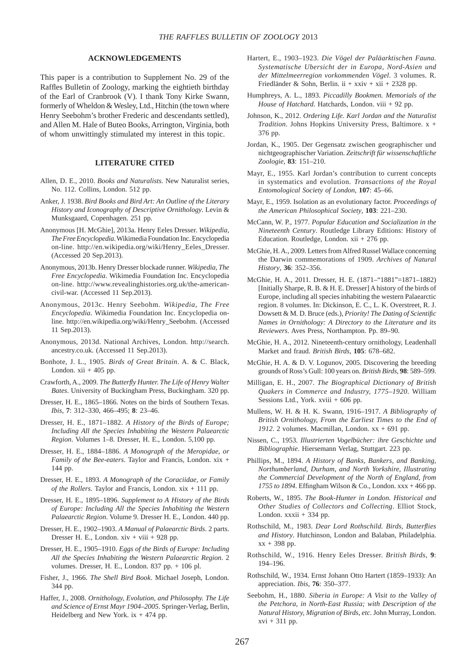### **ACKNOWLEDGEMENTS**

This paper is a contribution to Supplement No. 29 of the Raffles Bulletin of Zoology, marking the eightieth birthday of the Earl of Cranbrook (V). I thank Tony Kirke Swann, formerly of Wheldon & Wesley, Ltd., Hitchin (the town where Henry Seebohm's brother Frederic and descendants settled), and Allen M. Hale of Buteo Books, Arrington, Virginia, both of whom unwittingly stimulated my interest in this topic.

## **LITERATURE CITED**

- Allen, D. E., 2010. *Books and Naturalists*. New Naturalist series, No. 112. Collins, London. 512 pp.
- Anker, J. 1938. *Bird Books and Bird Art: An Outline of the Literary History and Iconography of Descriptive Ornithology*. Levin & Munksgaard, Copenhagen. 251 pp.
- Anonymous [H. McGhie], 2013a. Henry Eeles Dresser. *Wikipedia, The Free Encyclopedia*. Wikimedia Foundation Inc. Encyclopedia on-line. http://en.wikipedia.org/wiki/Henry\_Eeles\_Dresser. (Accessed 20 Sep.2013).
- Anonymous, 2013b. Henry Dresser blockade runner. *Wikipedia, The Free Encyclopedia*. Wikimedia Foundation Inc. Encyclopedia on-line. http://www.revealinghistories.org.uk/the-americancivil-war. (Accessed 11 Sep.2013).
- Anonymous, 2013c. Henry Seebohm*. Wikipedia, The Free Encyclopedia*. Wikimedia Foundation Inc. Encyclopedia online. http://en.wikipedia.org/wiki/Henry\_Seebohm. (Accessed 11 Sep.2013).
- Anonymous, 2013d. National Archives, London. http://search. ancestry.co.uk. (Accessed 11 Sep.2013).
- Bonhote, J. L., 1905. *Birds of Great Britain*. A. & C. Black, London.  $xii + 405$  pp.
- Crawforth, A., 2009. *The Butterfl y Hunter. The Life of Henry Walter Bates*. University of Buckingham Press, Buckingham. 320 pp.
- Dresser, H. E., 1865–1866. Notes on the birds of Southern Texas. *Ibis*, **7**: 312–330, 466–495; **8**: 23–46.
- Dresser, H. E., 1871–1882. *A History of the Birds of Europe; Including All the Species Inhabiting the Western Palaearctic Region*. Volumes 1–8. Dresser, H. E., London. 5,100 pp.
- Dresser, H. E., 1884–1886. *A Monograph of the Meropidae, or Family of the Bee-eaters*. Taylor and Francis, London. xix + 144 pp.
- Dresser, H. E., 1893. *A Monograph of the Coraciidae, or Family of the Rollers*. Taylor and Francis, London. xix + 111 pp.
- Dresser, H. E., 1895–1896. *Supplement to A History of the Birds of Europe: Including All the Species Inhabiting the Western Palaearctic Region*. Volume 9. Dresser H. E., London. 440 pp.
- Dresser, H. E., 1902–1903. *A Manual of Palaearctic Birds*. 2 parts. Dresser H. E., London. xiv + viii + 928 pp.
- Dresser, H. E., 1905–1910. *Eggs of the Birds of Europe: Including All the Species Inhabiting the Western Palaearctic Region*. 2 volumes. Dresser, H. E., London. 837 pp. + 106 pl.
- Fisher, J., 1966. *The Shell Bird Book*. Michael Joseph, London. 344 pp.
- Haffer, J., 2008. *Ornithology, Evolution, and Philosophy. The Life and Science of Ernst Mayr 1904–2005*. Springer-Verlag, Berlin, Heidelberg and New York.  $ix + 474$  pp.
- Hartert, E., 1903–1923. *Die Vögel der Paläarktischen Fauna. Systematische Ubersicht der in Europa, Nord-Asien und der Mittelmeerregion vorkommenden Vögel*. 3 volumes. R. Friedländer & Sohn, Berlin. ii + xxiv + xii + 2328 pp.
- Humphreys, A. L., 1893. *Piccadilly Bookmen. Memorials of the House of Hatchard*. Hatchards, London. viii + 92 pp.
- Johnson, K., 2012. *Ordering Life. Karl Jordan and the Naturalist Tradition*. Johns Hopkins University Press, Baltimore. x + 376 pp.
- Jordan, K., 1905. Der Gegensatz zwischen geographischer und nichtgeographischer Variation. *Zeitschrift für wissenschaftliche Zoologie*, **83**: 151–210.
- Mayr, E., 1955. Karl Jordan's contribution to current concepts in systematics and evolution. *Transactions of the Royal Entomological Society of London*, **107**: 45–66.
- Mayr, E., 1959. Isolation as an evolutionary factor. *Proceedings of the American Philosophical Society*, **103**: 221–230.
- McCann, W. P., 1977. *Popular Education and Socialization in the Nineteenth Century*. Routledge Library Editions: History of Education. Routledge, London.  $xii + 276$  pp.
- McGhie, H. A., 2009. Letters from Alfred Russel Wallace concerning the Darwin commemorations of 1909. *Archives of Natural History*, **36**: 352–356.
- McGhie, H. A., 2011. Dresser, H. E. (1871–"1881"=1871–1882) [Initially Sharpe, R. B. & H. E. Dresser] A history of the birds of Europe, including all species inhabiting the western Palaearctic region. 8 volumes. In: Dickinson, E. C., L. K. Overstreet, R. J. Dowsett & M. D. Bruce (eds.), *Priority! The Dating of Scientifi c Names in Ornithology: A Directory to the Literature and its Reviewers*. Aves Press, Northampton. Pp. 89–90.
- McGhie, H. A., 2012. Nineteenth-century ornithology, Leadenhall Market and fraud. *British Birds*, **105**: 678–682.
- McGhie, H. A. & D. V. Logunov, 2005. Discovering the breeding grounds of Ross's Gull: 100 years on. *British Birds*, **98**: 589–599.
- Milligan, E. H., 2007. *The Biographical Dictionary of British Quakers in Commerce and Industry, 1775–1920*. William Sessions Ltd., York. xviii + 606 pp.
- Mullens, W. H. & H. K. Swann, 1916–1917. *A Bibliography of British Ornithology, From the Earliest Times to the End of 1912*. 2 volumes. Macmillan, London. xx + 691 pp.
- Nissen, C., 1953. *Illustrierten Vogelbücher: ihre Geschichte und Bibliographie*. Hiersemann Verlag, Stuttgart. 223 pp.
- Phillips, M., 1894. *A History of Banks, Bankers, and Banking, Northumberland, Durham, and North Yorkshire, Illustrating the Commercial Development of the North of England, from*   $1755$  to  $1894$ . Effingham Wilson & Co., London. xxx + 466 pp.
- Roberts, W., 1895. *The Book-Hunter in London. Historical and Other Studies of Collectors and Collecting*. Elliot Stock, London.  $xxxi + 334$  pp.
- Rothschild, M., 1983. *Dear Lord Rothschild. Birds, Butterflies and History*. Hutchinson, London and Balaban, Philadelphia. xx + 398 pp.
- Rothschild, W., 1916. Henry Eeles Dresser. *British Birds*, **9**: 194–196.
- Rothschild, W., 1934. Ernst Johann Otto Hartert (1859–1933): An appreciation. *Ibis*, **76**: 350–377.
- Seebohm, H., 1880. *Siberia in Europe: A Visit to the Valley of the Petchora, in North-East Russia; with Description of the Natural History, Migration of Birds, etc*. John Murray, London.  $xvi + 311$  pp.